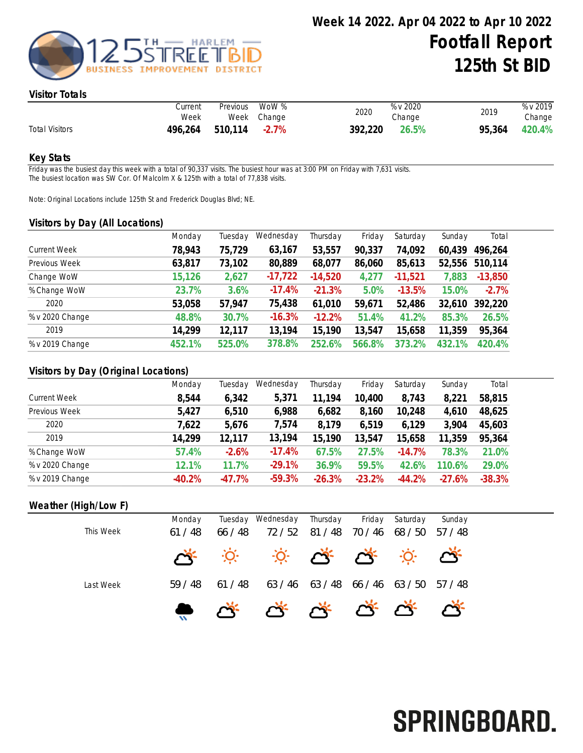

#### Visitor Totals

|                       | Current<br>Week | Previous | WoW %<br>Week Change | 2020    | % v 2020<br>Change | 2019   | % v 2019<br>Change |
|-----------------------|-----------------|----------|----------------------|---------|--------------------|--------|--------------------|
| <b>Total Visitors</b> | 496,264         | 510,114  | $-2.7\%$             | 392,220 | 26.5%              | 95,364 | 420.4%             |

#### Key Stats

Friday was the busiest day this week with a total of 90,337 visits. The busiest hour was at 3:00 PM on Friday with 7,631 visits. The busiest location was SW Cor. Of Malcolm X & 125th with a total of 77,838 visits.

Note: Original Locations include 125th St and Frederick Douglas Blvd; NE.

#### Visitors by Day (All Locations)

|                     | Monday | Tuesday | Wednesday | Thursday  | Friday | Saturday  | Sunday | Total     |
|---------------------|--------|---------|-----------|-----------|--------|-----------|--------|-----------|
| <b>Current Week</b> | 78,943 | 75,729  | 63,167    | 53,557    | 90,337 | 74,092    | 60,439 | 496,264   |
| Previous Week       | 63,817 | 73,102  | 80,889    | 68,077    | 86,060 | 85,613    | 52,556 | 510,114   |
| Change WoW          | 15,126 | 2,627   | $-17,722$ | $-14,520$ | 4,277  | $-11,521$ | 7,883  | $-13,850$ |
| % Change WoW        | 23.7%  | 3.6%    | $-17.4%$  | $-21.3%$  | 5.0%   | $-13.5%$  | 15.0%  | $-2.7%$   |
| 2020                | 53,058 | 57,947  | 75,438    | 61,010    | 59,671 | 52,486    | 32,610 | 392,220   |
| % v 2020 Change     | 48.8%  | 30.7%   | $-16.3%$  | $-12.2%$  | 51.4%  | 41.2%     | 85.3%  | 26.5%     |
| 2019                | 14,299 | 12,117  | 13,194    | 15,190    | 13,547 | 15,658    | 11,359 | 95,364    |
| % v 2019 Change     | 452.1% | 525.0%  | 378.8%    | 252.6%    | 566.8% | 373.2%    | 432.1% | 420.4%    |

## Visitors by Day (Original Locations)

| Monday   | Tuesday  | Wednesday | Thursday | Friday   | Saturday | Sunday   | Total    |
|----------|----------|-----------|----------|----------|----------|----------|----------|
| 8,544    | 6,342    | 5,371     | 11,194   | 10,400   | 8,743    | 8,221    | 58,815   |
| 5,427    | 6,510    | 6,988     | 6,682    | 8,160    | 10,248   | 4,610    | 48,625   |
| 7,622    | 5,676    | 7,574     | 8,179    | 6,519    | 6,129    | 3,904    | 45,603   |
| 14,299   | 12,117   | 13,194    | 15,190   | 13,547   | 15,658   | 11,359   | 95,364   |
| 57.4%    | $-2.6%$  | $-17.4%$  | 67.5%    | 27.5%    | $-14.7%$ | 78.3%    | 21.0%    |
| 12.1%    | 11.7%    | $-29.1%$  | 36.9%    | 59.5%    | 42.6%    | 110.6%   | 29.0%    |
| $-40.2%$ | $-47.7%$ | $-59.3%$  | $-26.3%$ | $-23.2%$ | $-44.2%$ | $-27.6%$ | $-38.3%$ |
|          |          |           |          |          |          |          |          |

## Weather (High/Low F)

|           | Monday |       | Tuesday Wednesday                                                                                        | Thursday    | Friday  | Saturday        | Sunday  |
|-----------|--------|-------|----------------------------------------------------------------------------------------------------------|-------------|---------|-----------------|---------|
| This Week | 61/48  | 66/48 | 72 / 52                                                                                                  | 81 / 48     | 70 / 46 | 68 / 50         | 57 / 48 |
|           |        |       | $\mathbb{R}^2$ $\mathbb{R}^2$ $\mathbb{R}^2$ $\mathbb{R}^2$ $\mathbb{R}^2$ $\mathbb{R}^2$ $\mathbb{R}^2$ |             |         |                 |         |
| Last Week | 59/48  | 61/48 |                                                                                                          | 63/46 63/48 |         | 66 / 46 63 / 50 | 57 / 48 |
|           |        |       |                                                                                                          |             |         |                 |         |

# SPRINGBOARD.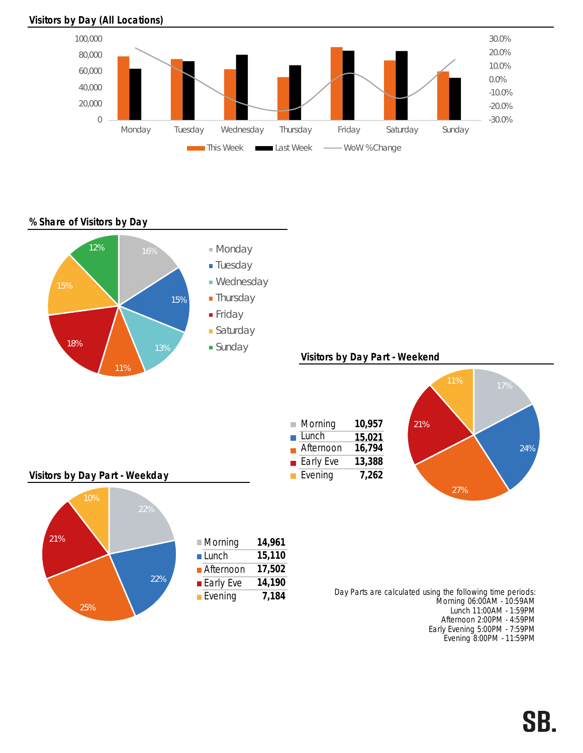### Visitors by Day (All Locations)



% Share of Visitors by Day



Early Evening 5:00PM - 7:59PM Evening 8:00PM - 11:59PM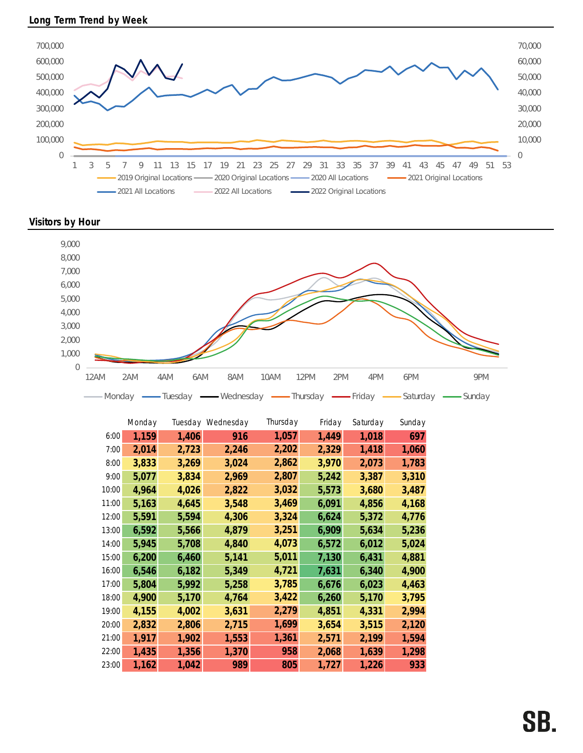





|       | Monday |       | Tuesday Wednesday | Thursday | Friday | Saturday | Sunday |
|-------|--------|-------|-------------------|----------|--------|----------|--------|
| 6:00  | 1,159  | 1,406 | 916               | 1,057    | 1,449  | 1,018    | 697    |
| 7:00  | 2,014  | 2,723 | 2,246             | 2,202    | 2,329  | 1,418    | 1,060  |
| 8:00  | 3,833  | 3,269 | 3,024             | 2,862    | 3,970  | 2,073    | 1,783  |
| 9:00  | 5,077  | 3,834 | 2,969             | 2,807    | 5,242  | 3,387    | 3,310  |
| 10:00 | 4,964  | 4,026 | 2,822             | 3,032    | 5,573  | 3,680    | 3,487  |
| 11:00 | 5,163  | 4,645 | 3,548             | 3,469    | 6,091  | 4,856    | 4,168  |
| 12:00 | 5,591  | 5,594 | 4,306             | 3,324    | 6,624  | 5,372    | 4,776  |
| 13:00 | 6,592  | 5,566 | 4,879             | 3,251    | 6,909  | 5,634    | 5,236  |
| 14:00 | 5,945  | 5,708 | 4,840             | 4,073    | 6,572  | 6,012    | 5,024  |
| 15:00 | 6,200  | 6,460 | 5,141             | 5,011    | 7,130  | 6,431    | 4,881  |
| 16:00 | 6,546  | 6,182 | 5,349             | 4,721    | 7,631  | 6,340    | 4,900  |
| 17:00 | 5,804  | 5,992 | 5,258             | 3,785    | 6,676  | 6,023    | 4,463  |
| 18:00 | 4,900  | 5,170 | 4,764             | 3,422    | 6,260  | 5,170    | 3,795  |
| 19:00 | 4,155  | 4,002 | 3,631             | 2,279    | 4,851  | 4,331    | 2,994  |
| 20:00 | 2,832  | 2,806 | 2,715             | 1,699    | 3,654  | 3,515    | 2,120  |
| 21:00 | 1,917  | 1,902 | 1,553             | 1,361    | 2,571  | 2,199    | 1,594  |
| 22:00 | 1,435  | 1,356 | 1,370             | 958      | 2,068  | 1,639    | 1,298  |
| 23:00 | 1,162  | 1,042 | 989               | 805      | 1,727  | 1,226    | 933    |